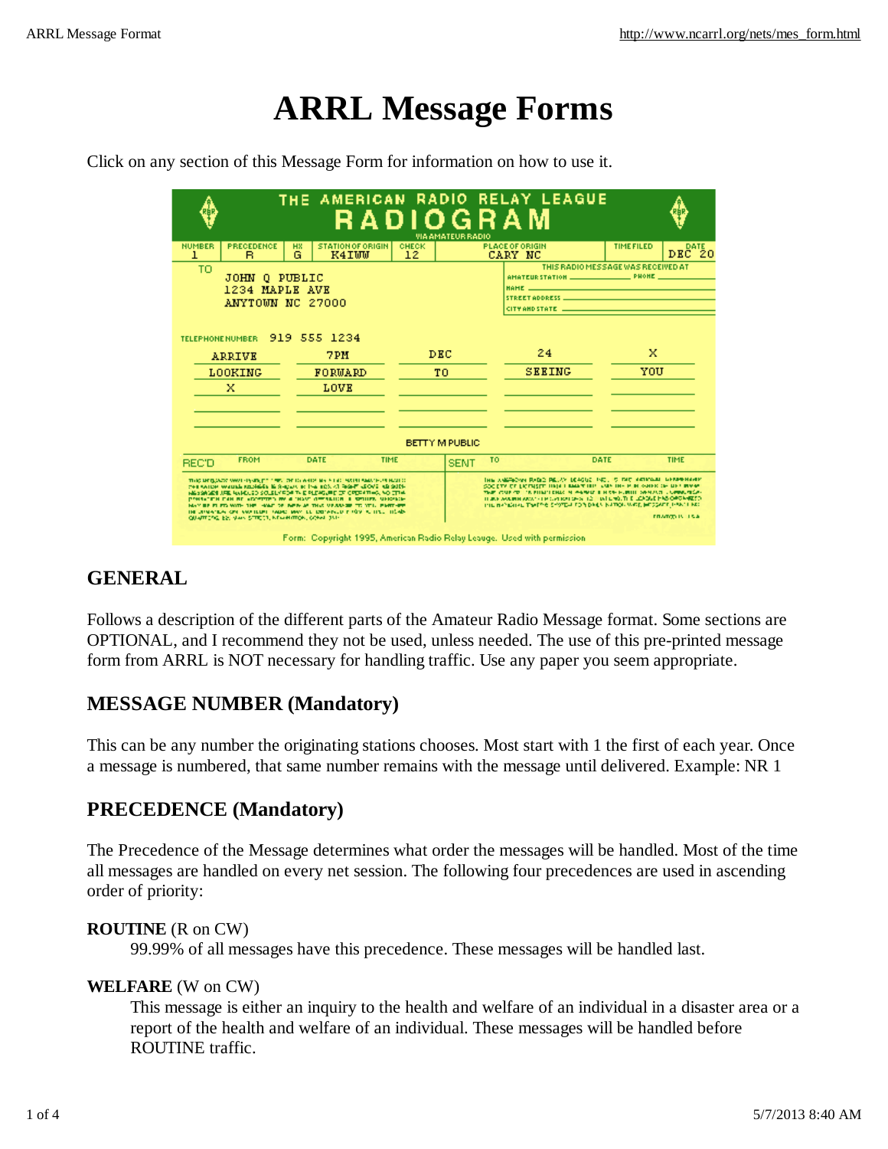# **ARRL Message Forms**

Click on any section of this Message Form for information on how to use it.

|                                                                                                                                                                                                                                                                                                                                                                                                                                                                                                              |                                   | <b>RADIOGRAM</b>   | <b>VIA AMATEUR RADIO</b> | THE AMERICAN RADIO RELAY LEAGUE                                                                                                                                                                                                                                                                                                                                             |                                    |                |  |  |  |
|--------------------------------------------------------------------------------------------------------------------------------------------------------------------------------------------------------------------------------------------------------------------------------------------------------------------------------------------------------------------------------------------------------------------------------------------------------------------------------------------------------------|-----------------------------------|--------------------|--------------------------|-----------------------------------------------------------------------------------------------------------------------------------------------------------------------------------------------------------------------------------------------------------------------------------------------------------------------------------------------------------------------------|------------------------------------|----------------|--|--|--|
| <b>PRECEDENCE</b><br><b>NUMBER</b><br><b>HX</b><br>G<br>1<br>в                                                                                                                                                                                                                                                                                                                                                                                                                                               | <b>STATION OF ORIGIN</b><br>K4IWW | <b>CHECK</b><br>12 |                          | <b>PLACE OF ORIGIN</b><br>CARY NC                                                                                                                                                                                                                                                                                                                                           | <b>TIME FILED</b>                  | DATE<br>DEC 20 |  |  |  |
| TΟ<br>JOHN O PUBLIC<br>1234 MAPLE AVE<br>ANYTOWN NC 27000                                                                                                                                                                                                                                                                                                                                                                                                                                                    |                                   |                    |                          | HAME -<br>CITY AND STATE <b>And Constitution Constitution</b>                                                                                                                                                                                                                                                                                                               | THIS RADIO MESSAGE WAS RECEIVED AT |                |  |  |  |
| <b>TELEPHONE NUMBER</b>                                                                                                                                                                                                                                                                                                                                                                                                                                                                                      | 919 555 1234                      |                    |                          | 24                                                                                                                                                                                                                                                                                                                                                                          | x                                  |                |  |  |  |
| ARRIVE                                                                                                                                                                                                                                                                                                                                                                                                                                                                                                       | 7PH                               | <b>DEC</b>         |                          | <b>SEEING</b>                                                                                                                                                                                                                                                                                                                                                               | YOU                                |                |  |  |  |
| LOOKING<br>x                                                                                                                                                                                                                                                                                                                                                                                                                                                                                                 | FORMARD<br>LOVE                   | тo                 |                          |                                                                                                                                                                                                                                                                                                                                                                             |                                    |                |  |  |  |
| <b>BETTY M PUBLIC</b>                                                                                                                                                                                                                                                                                                                                                                                                                                                                                        |                                   |                    |                          |                                                                                                                                                                                                                                                                                                                                                                             |                                    |                |  |  |  |
| <b>FROM</b><br><b>REC'D</b>                                                                                                                                                                                                                                                                                                                                                                                                                                                                                  | DATE                              | TIME               | <b>SENT</b>              | TO.                                                                                                                                                                                                                                                                                                                                                                         | DATE<br>TIME                       |                |  |  |  |
| THREE METALOGIC ANNOTHING WAS TITLE WAS IDDENTIFY AND A REAL AND MARKET AND AN ALCOHOL.<br>FOR SAIDE WALLAS REGISTER IS SHOWN TO THE BOX 47 RIGHT LEOVE AS SUPP<br>HE SOMETIME WHOLES SOLELY FOR THE PLEASURE OF CREWTING, NO CTH.<br>PROGRESS CAN BE ADDITION BY A "HAVE GETALISM" & SPILLER, MERCHAN<br>MAY BE FLETA WITH THE HAND OF BEIN AS THIS VERSALE TO YOU. FART-BET<br>THE UPMAYINA CITY AND TELPT TABLE MAY BE DRIVING UP TOY AS TITLE TISABL<br>QUARTERS, ES, VAIN STREET, KEWHITTON, CONN. 351- |                                   |                    |                          | THIS ANGEROVER RADIO PELAY DEACHE THE . 5 FAC ANTICOME DEMONSTRATIV<br>SOC ETY OF EXCITASTIC HIGH I RIGHT HIGH VAN THE HIGH GROUND OF ANY RIVER.<br>THE CURRENT IN FINITENDS OF ANNUAL HISTORICAL BUILDING CONSUMING.<br>THERE ARRESTS ARRESTS FROM BOTH AT LCCC. WE LIKE THE LEADING PASS OF CAMBER OF<br>THE RANGHAL TWIPPE SYSTEM FOR DAILY NATION WAS HERSCAPP HAN LIKE | <b>EDMON IN TRA</b>                |                |  |  |  |

#### **GENERAL**

Follows a description of the different parts of the Amateur Radio Message format. Some sections are OPTIONAL, and I recommend they not be used, unless needed. The use of this pre-printed message form from ARRL is NOT necessary for handling traffic. Use any paper you seem appropriate.

# **MESSAGE NUMBER (Mandatory)**

This can be any number the originating stations chooses. Most start with 1 the first of each year. Once a message is numbered, that same number remains with the message until delivered. Example: NR 1

## **PRECEDENCE (Mandatory)**

The Precedence of the Message determines what order the messages will be handled. Most of the time all messages are handled on every net session. The following four precedences are used in ascending order of priority:

#### **ROUTINE** (R on CW)

99.99% of all messages have this precedence. These messages will be handled last.

#### **WELFARE** (W on CW)

This message is either an inquiry to the health and welfare of an individual in a disaster area or a report of the health and welfare of an individual. These messages will be handled before ROUTINE traffic.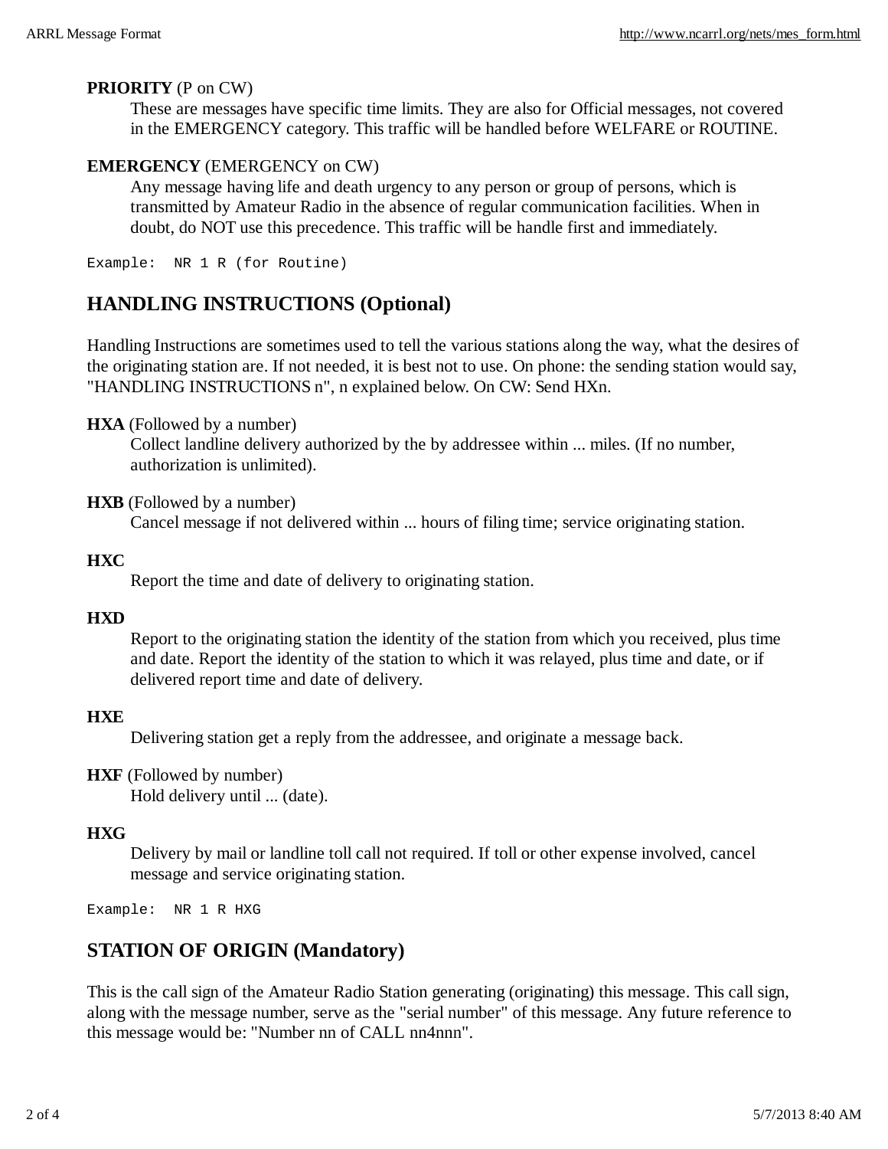#### **PRIORITY** (P on CW)

These are messages have specific time limits. They are also for Official messages, not covered in the EMERGENCY category. This traffic will be handled before WELFARE or ROUTINE.

#### **EMERGENCY** (EMERGENCY on CW)

Any message having life and death urgency to any person or group of persons, which is transmitted by Amateur Radio in the absence of regular communication facilities. When in doubt, do NOT use this precedence. This traffic will be handle first and immediately.

Example: NR 1 R (for Routine)

## **HANDLING INSTRUCTIONS (Optional)**

Handling Instructions are sometimes used to tell the various stations along the way, what the desires of the originating station are. If not needed, it is best not to use. On phone: the sending station would say, "HANDLING INSTRUCTIONS n", n explained below. On CW: Send HXn.

#### **HXA** (Followed by a number)

Collect landline delivery authorized by the by addressee within ... miles. (If no number, authorization is unlimited).

**HXB** (Followed by a number)

Cancel message if not delivered within ... hours of filing time; service originating station.

#### **HXC**

Report the time and date of delivery to originating station.

#### **HXD**

Report to the originating station the identity of the station from which you received, plus time and date. Report the identity of the station to which it was relayed, plus time and date, or if delivered report time and date of delivery.

#### **HXE**

Delivering station get a reply from the addressee, and originate a message back.

#### **HXF** (Followed by number)

Hold delivery until ... (date).

#### **HXG**

Delivery by mail or landline toll call not required. If toll or other expense involved, cancel message and service originating station.

Example: NR 1 R HXG

## **STATION OF ORIGIN (Mandatory)**

This is the call sign of the Amateur Radio Station generating (originating) this message. This call sign, along with the message number, serve as the "serial number" of this message. Any future reference to this message would be: "Number nn of CALL nn4nnn".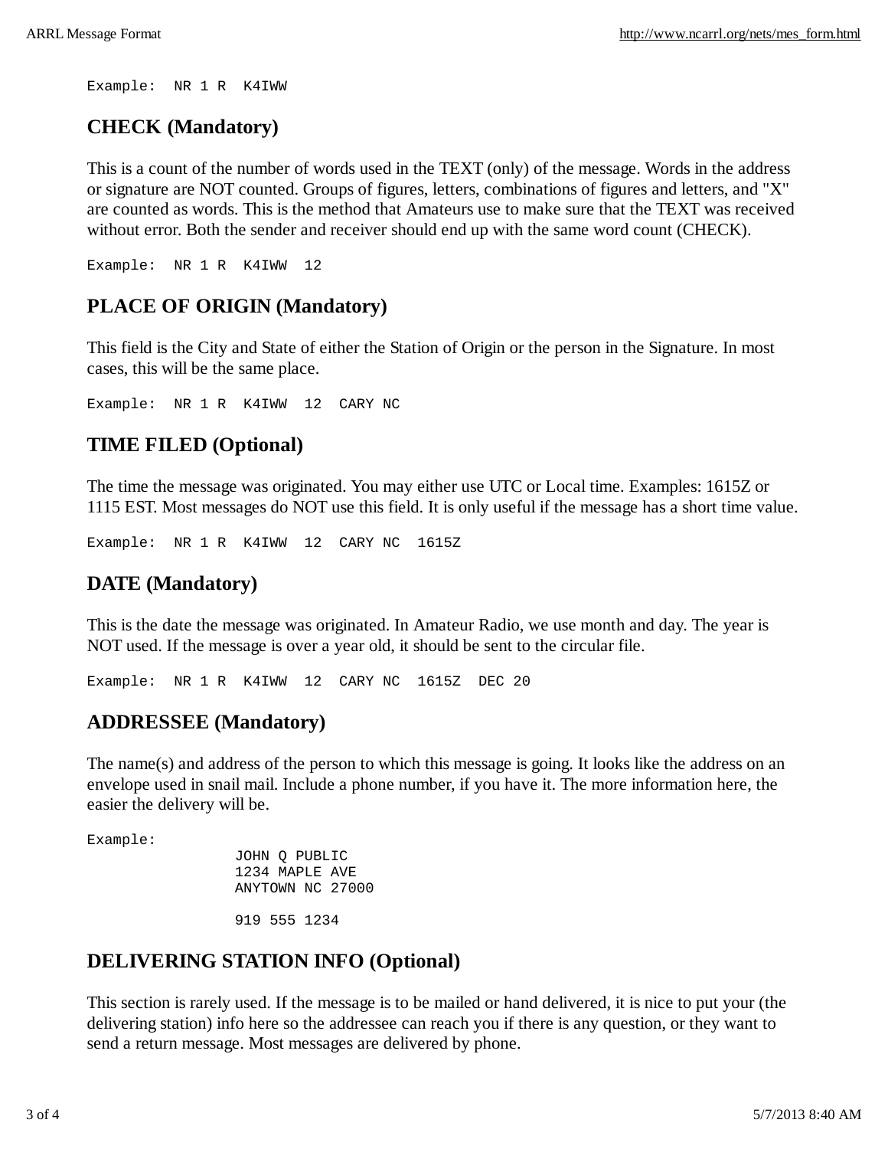Example: NR 1 R K4IWW

## **CHECK (Mandatory)**

This is a count of the number of words used in the TEXT (only) of the message. Words in the address or signature are NOT counted. Groups of figures, letters, combinations of figures and letters, and "X" are counted as words. This is the method that Amateurs use to make sure that the TEXT was received without error. Both the sender and receiver should end up with the same word count (CHECK).

Example: NR 1 R K4IWW 12

## **PLACE OF ORIGIN (Mandatory)**

This field is the City and State of either the Station of Origin or the person in the Signature. In most cases, this will be the same place.

Example: NR 1 R K4IWW 12 CARY NC

## **TIME FILED (Optional)**

The time the message was originated. You may either use UTC or Local time. Examples: 1615Z or 1115 EST. Most messages do NOT use this field. It is only useful if the message has a short time value.

Example: NR 1 R K4IWW 12 CARY NC 1615Z

## **DATE (Mandatory)**

This is the date the message was originated. In Amateur Radio, we use month and day. The year is NOT used. If the message is over a year old, it should be sent to the circular file.

Example: NR 1 R K4IWW 12 CARY NC 1615Z DEC 20

## **ADDRESSEE (Mandatory)**

The name(s) and address of the person to which this message is going. It looks like the address on an envelope used in snail mail. Include a phone number, if you have it. The more information here, the easier the delivery will be.

Example:

 JOHN Q PUBLIC 1234 MAPLE AVE ANYTOWN NC 27000 919 555 1234

## **DELIVERING STATION INFO (Optional)**

This section is rarely used. If the message is to be mailed or hand delivered, it is nice to put your (the delivering station) info here so the addressee can reach you if there is any question, or they want to send a return message. Most messages are delivered by phone.